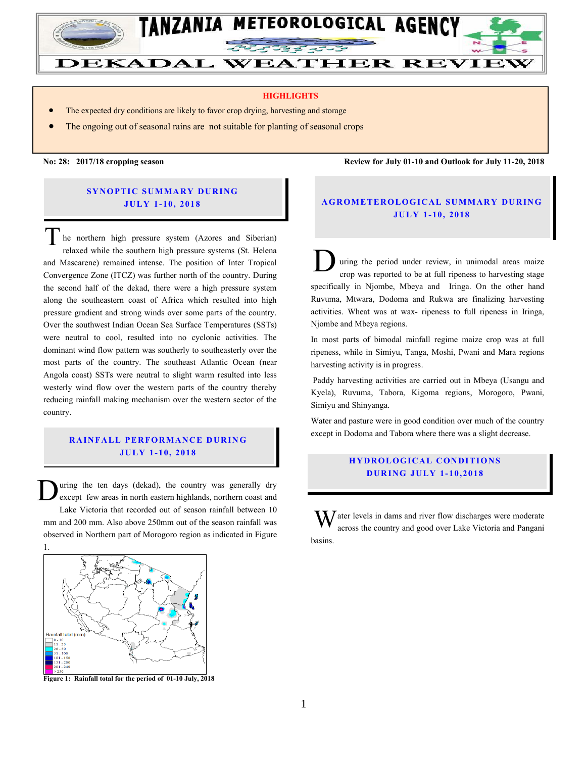

#### **HIGHLIGHTS**

- The expected dry conditions are likely to favor crop drying, harvesting and storage
- The ongoing out of seasonal rains are not suitable for planting of seasonal crops

**No: 28: 2017/18 cropping season Review for July 01-10 and Outlook for July 11-20, 2018**

#### **SYNOPTIC SUMMARY DURING JU LY 1- 10, 201 8**

he northern high pressure system (Azores and Siberian) relaxed while the southern high pressure systems (St. Helena and Mascarene) remained intense. The position of Inter Tropical Convergence Zone (ITCZ) was further north of the country. During the second half of the dekad, there were a high pressure system along the southeastern coast of Africa which resulted into high pressure gradient and strong winds over some parts of the country. Over the southwest Indian Ocean Sea Surface Temperatures (SSTs) were neutral to cool, resulted into no cyclonic activities. The dominant wind flow pattern was southerly to southeasterly over the most parts of the country. The southeast Atlantic Ocean (near Angola coast) SSTs were neutral to slight warm resulted into less westerly wind flow over the western parts of the country thereby reducing rainfall making mechanism over the western sector of the country. T

### **RAINFALL PERFORMANCE DURING JU LY 1 - 10, 2018**

uring the ten days (dekad), the country was generally dry except few areas in north eastern highlands, northern coast and Lake Victoria that recorded out of season rainfall between 10 mm and 200 mm. Also above 250mm out of the season rainfall was observed in Northern part of Morogoro region as indicated in Figure 1. D



**Figure 1: Rainfall total for the period of 01-10 July, 2018**

# **A G RO METER O LO G IC AL SU MMAR Y DU R IN G JU LY 1- 10, 2018**

uring the period under review, in unimodal areas maize crop was reported to be at full ripeness to harvesting stage specifically in Njombe, Mbeya and Iringa. On the other hand Ruvuma, Mtwara, Dodoma and Rukwa are finalizing harvesting activities. Wheat was at wax- ripeness to full ripeness in Iringa, Njombe and Mbeya regions. D

In most parts of bimodal rainfall regime maize crop was at full ripeness, while in Simiyu, Tanga, Moshi, Pwani and Mara regions harvesting activity is in progress.

Paddy harvesting activities are carried out in Mbeya (Usangu and Kyela), Ruvuma, Tabora, Kigoma regions, Morogoro, Pwani, Simiyu and Shinyanga.

Water and pasture were in good condition over much of the country except in Dodoma and Tabora where there was a slight decrease.

# **HYDROLOGICAL CONDITIONS D UR ING JU LY 1- 10, 2018**

 $\int$  ater levels in dams and river flow discharges were moderate across the country and good over Lake Victoria and Pangani basins. W